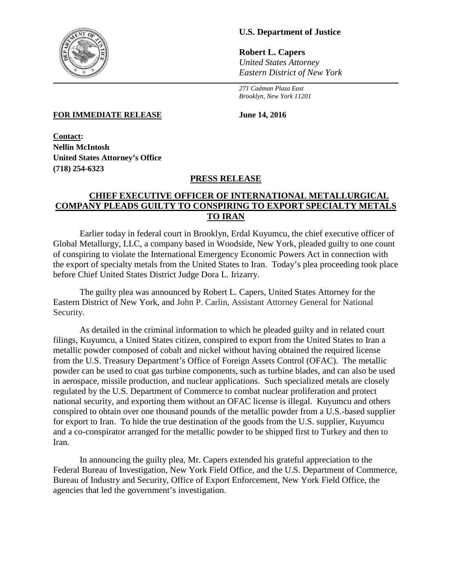

## **U.S. Department of Justice**

**Robert L. Capers** *United States Attorney Eastern District of New York*

*271 Cadman Plaza East Brooklyn, New York 11201*

**FOR IMMEDIATE RELEASE** June 14, 2016

**Contact: Nellin McIntosh United States Attorney's Office (718) 254-6323**

## **PRESS RELEASE**

## **CHIEF EXECUTIVE OFFICER OF INTERNATIONAL METALLURGICAL COMPANY PLEADS GUILTY TO CONSPIRING TO EXPORT SPECIALTY METALS TO IRAN**

Earlier today in federal court in Brooklyn, Erdal Kuyumcu, the chief executive officer of Global Metallurgy, LLC, a company based in Woodside, New York, pleaded guilty to one count of conspiring to violate the International Emergency Economic Powers Act in connection with the export of specialty metals from the United States to Iran. Today's plea proceeding took place before Chief United States District Judge Dora L. Irizarry.

The guilty plea was announced by Robert L. Capers, United States Attorney for the Eastern District of New York, and John P. Carlin, Assistant Attorney General for National Security.

As detailed in the criminal information to which he pleaded guilty and in related court filings, Kuyumcu, a United States citizen, conspired to export from the United States to Iran a metallic powder composed of cobalt and nickel without having obtained the required license from the U.S. Treasury Department's Office of Foreign Assets Control (OFAC). The metallic powder can be used to coat gas turbine components, such as turbine blades, and can also be used in aerospace, missile production, and nuclear applications. Such specialized metals are closely regulated by the U.S. Department of Commerce to combat nuclear proliferation and protect national security, and exporting them without an OFAC license is illegal. Kuyumcu and others conspired to obtain over one thousand pounds of the metallic powder from a U.S.-based supplier for export to Iran. To hide the true destination of the goods from the U.S. supplier, Kuyumcu and a co-conspirator arranged for the metallic powder to be shipped first to Turkey and then to Iran.

In announcing the guilty plea, Mr. Capers extended his grateful appreciation to the Federal Bureau of Investigation, New York Field Office, and the U.S. Department of Commerce, Bureau of Industry and Security, Office of Export Enforcement, New York Field Office, the agencies that led the government's investigation.